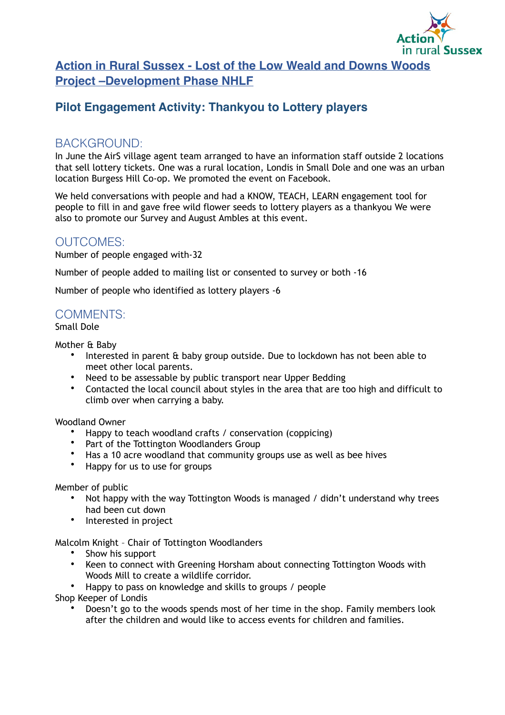

**Action in Rural Sussex - Lost of the Low Weald and Downs Woods Project –Development Phase NHLF**

# **Pilot Engagement Activity: Thankyou to Lottery players**

## BACKGROUND:

In June the AirS village agent team arranged to have an information staff outside 2 locations that sell lottery tickets. One was a rural location, Londis in Small Dole and one was an urban location Burgess Hill Co-op. We promoted the event on Facebook.

We held conversations with people and had a KNOW, TEACH, LEARN engagement tool for people to fill in and gave free wild flower seeds to lottery players as a thankyou We were also to promote our Survey and August Ambles at this event.

## OUTCOMES:

Number of people engaged with-32

Number of people added to mailing list or consented to survey or both -16

Number of people who identified as lottery players -6

## COMMENTS:

Small Dole

Mother & Baby

- Interested in parent & baby group outside. Due to lockdown has not been able to meet other local parents.
- Need to be assessable by public transport near Upper Bedding
- Contacted the local council about styles in the area that are too high and difficult to climb over when carrying a baby.

Woodland Owner

- Happy to teach woodland crafts / conservation (coppicing)
- Part of the Tottington Woodlanders Group
- Has a 10 acre woodland that community groups use as well as bee hives
- Happy for us to use for groups

Member of public

- Not happy with the way Tottington Woods is managed / didn't understand why trees had been cut down
- Interested in project

Malcolm Knight – Chair of Tottington Woodlanders

- Show his support
- Keen to connect with Greening Horsham about connecting Tottington Woods with Woods Mill to create a wildlife corridor.
- Happy to pass on knowledge and skills to groups / people

Shop Keeper of Londis

• Doesn't go to the woods spends most of her time in the shop. Family members look after the children and would like to access events for children and families.